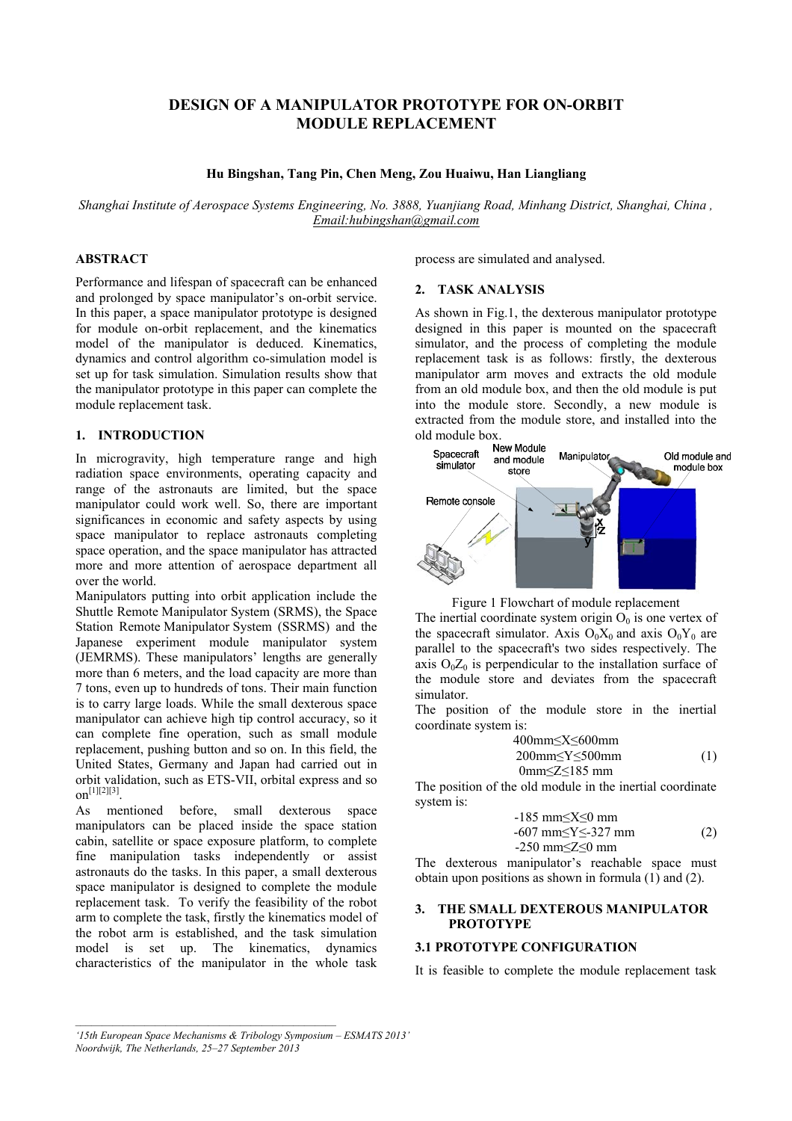# **DESIGN OF A MANIPULATOR PROTOTYPE FOR ON-ORBIT MODULE REPLACEMENT**

#### **Hu Bingshan, Tang Pin, Chen Meng, Zou Huaiwu, Han Liangliang**

*Shanghai Institute of Aerospace Systems Engineering, No. 3888, Yuanjiang Road, Minhang District, Shanghai, China , [Email:hubingshan@gmail.com](mailto:Email:hubingshan@gmail.com)* 

# **ABSTRACT**

Performance and lifespan of spacecraft can be enhanced and prolonged by space manipulator's on-orbit service. In this paper, a space manipulator prototype is designed for module on-orbit replacement, and the kinematics model of the manipulator is deduced. Kinematics, dynamics and control algorithm co-simulation model is set up for task simulation. Simulation results show that the manipulator prototype in this paper can complete the module replacement task.

## **1. INTRODUCTION**

In microgravity, high temperature range and high radiation space environments, operating capacity and range of the astronauts are limited, but the space manipulator could work well. So, there are important significances in economic and safety aspects by using space manipulator to replace astronauts completing space operation, and the space manipulator has attracted more and more attention of aerospace department all over the world.

Manipulators putting into orbit application include the Shuttle Remote Manipulator System (SRMS), the Space Station Remote Manipulator System (SSRMS) and the Japanese experiment module manipulator system (JEMRMS). These manipulators' lengths are generally more than 6 meters, and the load capacity are more than 7 tons, even up to hundreds of tons. Their main function is to carry large loads. While the small dexterous space manipulator can achieve high tip control accuracy, so it can complete fine operation, such as small module replacement, pushing button and so on. In this field, the United States, Germany and Japan had carried out in orbit validation, such as ETS-VII, orbital express and so  $\text{on}^{[1][2][3]}$ .

As mentioned before, small dexterous space manipulators can be placed inside the space station cabin, satellite or space exposure platform, to complete fine manipulation tasks independently or assist astronauts do the tasks. In this paper, a small dexterous space manipulator is designed to complete the module replacement task. To verify the feasibility of the robot arm to complete the task, firstly the kinematics model of the robot arm is established, and the task simulation model is set up. The kinematics, dynamics characteristics of the manipulator in the whole task

process are simulated and analysed.

#### **2. TASK ANALYSIS**

As shown in Fig.1, the dexterous manipulator prototype designed in this paper is mounted on the spacecraft simulator, and the process of completing the module replacement task is as follows: firstly, the dexterous manipulator arm moves and extracts the old module from an old module box, and then the old module is put into the module store. Secondly, a new module is extracted from the module store, and installed into the old module box.<br>New Module





The inertial coordinate system origin  $O_0$  is one vertex of the spacecraft simulator. Axis  $O_0X_0$  and axis  $O_0Y_0$  are parallel to the spacecraft's two sides respectively. The axis  $O_0Z_0$  is perpendicular to the installation surface of the module store and deviates from the spacecraft simulator.

The position of the module store in the inertial coordinate system is:

$$
400mm \le X \le 600mm
$$
  
200mm \le Y \le 500mm  
0mm \le Z \le 185 mm (1)

The position of the old module in the inertial coordinate system is:

$$
-185 \text{ mm} \le X \le 0 \text{ mm}
$$
  
-607 mm
$$
\le Y \le 327 \text{ mm}
$$
  
-250 mm
$$
\le Z \le 0 \text{ mm}
$$
 (2)

The dexterous manipulator's reachable space must obtain upon positions as shown in formula (1) and (2).

#### **3. THE SMALL DEXTEROUS MANIPULATOR PROTOTYPE**

## **3.1 PROTOTYPE CONFIGURATION**

It is feasible to complete the module replacement task

*<sup>&#</sup>x27;15th European Space Mechanisms & Tribology Symposium – ESMATS 2013'* 

*Noordwijk, The Netherlands, 25–27 September 2013*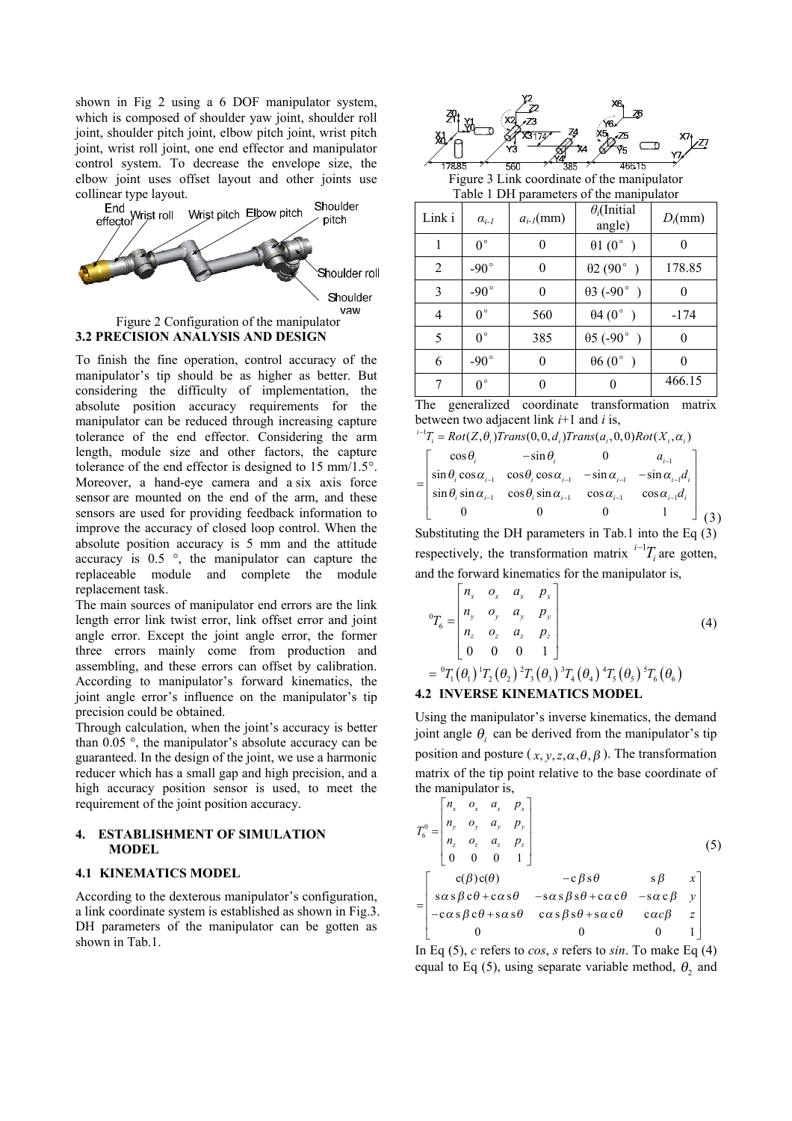shown in Fig 2 using a 6 DOF manipulator system, which is composed of shoulder yaw joint, shoulder roll joint, shoulder pitch joint, elbow pitch joint, wrist pitch joint, wrist roll joint, one end effector and manipulator control system. To decrease the envelope size, the elbow joint uses offset layout and other joints use



# **3.2 PRECISION ANALYSIS AND DESIGN**

To finish the fine operation, control accuracy of the manipulator's tip should be as higher as better. But considering the difficulty of implementation, the absolute position accuracy requirements for the manipulator can be reduced through increasing capture tolerance of the end effector. Considering the arm length, module size and other factors, the capture tolerance of the end effector is designed to 15 mm/1.5°. Moreover, a hand-eye camera and a six axis force sensor are mounted on the end of the arm, and these sensors are used for providing feedback information to improve the accuracy of closed loop control. When the absolute position accuracy is 5 mm and the attitude accuracy is 0.5 °, the manipulator can capture the replaceable module and complete the module replacement task.

The main sources of manipulator end errors are the link length error link twist error, link offset error and joint angle error. Except the joint angle error, the former three errors mainly come from production and assembling, and these errors can offset by calibration. According to manipulator's forward kinematics, the joint angle error's influence on the manipulator's tip precision could be obtained.

Through calculation, when the joint's accuracy is better than 0.05 °, the manipulator's absolute accuracy can be guaranteed. In the design of the joint, we use a harmonic reducer which has a small gap and high precision, and a high accuracy position sensor is used, to meet the requirement of the joint position accuracy.

#### **4. ESTABLISHMENT OF SIMULATION MODEL**

### **4.1 KINEMATICS MODEL**

According to the dexterous manipulator's configuration, a link coordinate system is established as shown in Fig.3. DH parameters of the manipulator can be gotten as shown in Tab.1.



Figure 3 Link coordinate of the manipulator Table 1 DH parameters of the manipulator

| Link i | $\alpha_{i-l}$ | $a_{i-1}$ (mm) | $\theta_i$ (Initial<br>angle) | $D_i$ (mm) |  |
|--------|----------------|----------------|-------------------------------|------------|--|
|        | $0^{\circ}$    |                | $\theta$ 1 (0°)               |            |  |
| 2      | $-90^{\circ}$  | 0              | $\theta$ 2 (90°)              | 178.85     |  |
| 3      | $-90^\circ$    |                | $\theta$ 3 (-90°)             |            |  |
| 4      | $0^{\circ}$    | 560            | $\theta$ 4 (0°)               | $-174$     |  |
| 5      | $0^{\circ}$    | 385            | $\theta$ 5 (-90°)             |            |  |
| 6      | $-90^{\circ}$  | 0              | $\theta$ 6 (0°)               | 0          |  |
| 7      | $0^{\circ}$    |                |                               | 466.15     |  |

The generalized coordinate transformation matrix between two adjacent link *i*+1 and *i* is, *i*

$$
^{-1}T_i = Rot(Z, \theta_i)Trans(0, 0, d_i) Trans(a_i, 0, 0)Rot(X_i, \alpha_i)
$$

| $\cos\theta$ . | $-\sin\theta_i$                                                                                               |                     |                        |  |
|----------------|---------------------------------------------------------------------------------------------------------------|---------------------|------------------------|--|
|                | $\sin \theta_i \cos \alpha_{i-1} \cos \theta_i \cos \alpha_{i-1} - \sin \alpha_{i-1} - \sin \alpha_{i-1} d_i$ |                     |                        |  |
|                | $\sin \theta_i \sin \alpha_{i-1}$ $\cos \theta_i \sin \alpha_{i-1}$                                           | $\cos \alpha_{i-1}$ | $\cos \alpha_{i-1}d_i$ |  |
|                |                                                                                                               |                     |                        |  |

Substituting the DH parameters in Tab.1 into the Eq (3) respectively, the transformation matrix  $i^{-1}T_i$  are gotten, and the forward kinematics for the manipulator is,

$$
{}^{0}T_{6} = \begin{bmatrix} n_{x} & o_{x} & a_{x} & p_{x} \\ n_{y} & o_{y} & a_{y} & p_{y} \\ n_{z} & o_{z} & a_{z} & p_{z} \\ 0 & 0 & 0 & 1 \end{bmatrix}
$$
(4)  
=  ${}^{0}T_{1}(\theta_{1}) {}^{1}T_{2}(\theta_{2}) {}^{2}T_{3}(\theta_{3}) {}^{3}T_{4}(\theta_{4}) {}^{4}T_{5}(\theta_{5}) {}^{5}T_{6}(\theta_{6})$ 

## **4.2 INVERSE KINEMATICS MODEL**

Using the manipulator's inverse kinematics, the demand joint angle  $\theta$ <sup>*i*</sup> can be derived from the manipulator's tip position and posture ( $x, y, z, \alpha, \theta, \beta$ ). The transformation matrix of the tip point relative to the base coordinate of the manipulator is,

$$
T_6^0 = \begin{bmatrix} n_x & o_x & a_x & p_x \\ n_y & o_y & a_y & p_y \\ n_z & o_z & a_z & p_z \\ 0 & 0 & 0 & 1 \end{bmatrix}
$$
 (5)  

$$
= \begin{bmatrix} c(\beta)c(\theta) & -c\beta s\theta & s\beta & x \\ s\alpha s\beta c\theta + c\alpha s\theta & -s\alpha s\beta s\theta + c\alpha c\theta & -s\alpha c\beta & y \\ -c\alpha s\beta c\theta + s\alpha s\theta & c\alpha s\beta s\theta + s\alpha c\theta & c\alpha c\beta & z \\ 0 & 0 & 0 & 1 \end{bmatrix}
$$

In Eq (5), *c* refers to *cos*, *s* refers to *sin*. To make Eq (4) equal to Eq  $(5)$ , using separate variable method,  $\theta_2$  and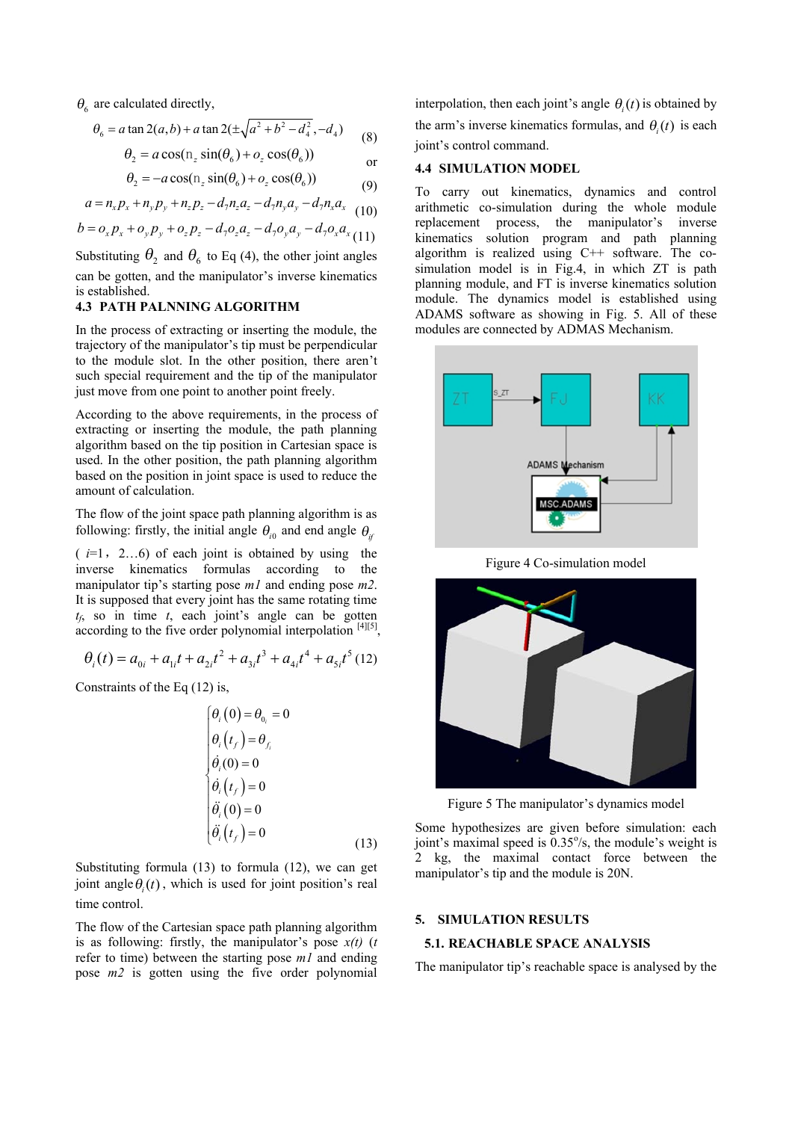$\theta_6$  are calculated directly,

$$
\theta_6 = a \tan 2(a, b) + a \tan 2(\pm \sqrt{a^2 + b^2 - d_4^2}, -d_4)
$$
 (8)

$$
\theta_2 = a \cos(\mathbf{n}_z \sin(\theta_6) + o_z \cos(\theta_6))
$$
 or

$$
\theta_2 = -a\cos(\mathbf{n}_z\sin(\theta_6) + o_z\cos(\theta_6))\tag{9}
$$

$$
a = n_x p_x + n_y p_y + n_z p_z - d_7 n_z a_z - d_7 n_y a_y - d_7 n_x a_x
$$
 (10)

$$
b = o_x p_x + o_y p_y + o_z p_z - d_7 o_z a_z - d_7 o_y a_y - d_7 o_x a_x (11)
$$

Substituting  $\theta_2$  and  $\theta_6$  to Eq (4), the other joint angles can be gotten, and the manipulator's inverse kinematics is established.

## **4.3 PATH PALNNING ALGORITHM**

In the process of extracting or inserting the module, the trajectory of the manipulator's tip must be perpendicular to the module slot. In the other position, there aren't such special requirement and the tip of the manipulator just move from one point to another point freely.

According to the above requirements, in the process of extracting or inserting the module, the path planning algorithm based on the tip position in Cartesian space is used. In the other position, the path planning algorithm based on the position in joint space is used to reduce the amount of calculation.

The flow of the joint space path planning algorithm is as following: firstly, the initial angle  $\theta_{i0}$  and end angle  $\theta_{ij}$ 

 $(i=1, 2...6)$  of each joint is obtained by using the inverse kinematics formulas according to the manipulator tip's starting pose *m1* and ending pose *m2*. It is supposed that every joint has the same rotating time *tf* , so in time *t*, each joint's angle can be gotten according to the five order polynomial interpolation  $[4][5]$ ,

$$
\theta_i(t) = a_{0i} + a_{1i}t + a_{2i}t^2 + a_{3i}t^3 + a_{4i}t^4 + a_{5i}t^5
$$
 (12)

Constraints of the Eq (12) is,

$$
\begin{cases}\n\theta_i(0) = \theta_{0_i} = 0 \\
\theta_i(t_f) = \theta_{f_i} \\
\dot{\theta}_i(0) = 0 \\
\dot{\theta}_i(t_f) = 0 \\
\ddot{\theta}_i(0) = 0 \\
\ddot{\theta}_i(t_f) = 0\n\end{cases}
$$
\n(13)

Substituting formula (13) to formula (12), we can get joint angle  $\theta(t)$ , which is used for joint position's real time control.

The flow of the Cartesian space path planning algorithm is as following: firstly, the manipulator's pose  $x(t)$  (*t* refer to time) between the starting pose *m1* and ending pose *m2* is gotten using the five order polynomial

interpolation, then each joint's angle  $\theta_i(t)$  is obtained by the arm's inverse kinematics formulas, and  $\theta_i(t)$  is each joint's control command.

### **4.4 SIMULATION MODEL**

To carry out kinematics, dynamics and control arithmetic co-simulation during the whole module replacement process, the manipulator's inverse kinematics solution program and path planning algorithm is realized using C++ software. The cosimulation model is in Fig.4, in which ZT is path planning module, and FT is inverse kinematics solution module. The dynamics model is established using ADAMS software as showing in Fig. 5. All of these modules are connected by ADMAS Mechanism.



Figure 4 Co-simulation model



Figure 5 The manipulator's dynamics model

Some hypothesizes are given before simulation: each joint's maximal speed is  $0.35\%$ , the module's weight is 2 kg, the maximal contact force between the manipulator's tip and the module is 20N.

#### **5. SIMULATION RESULTS**

## **5.1. REACHABLE SPACE ANALYSIS**

The manipulator tip's reachable space is analysed by the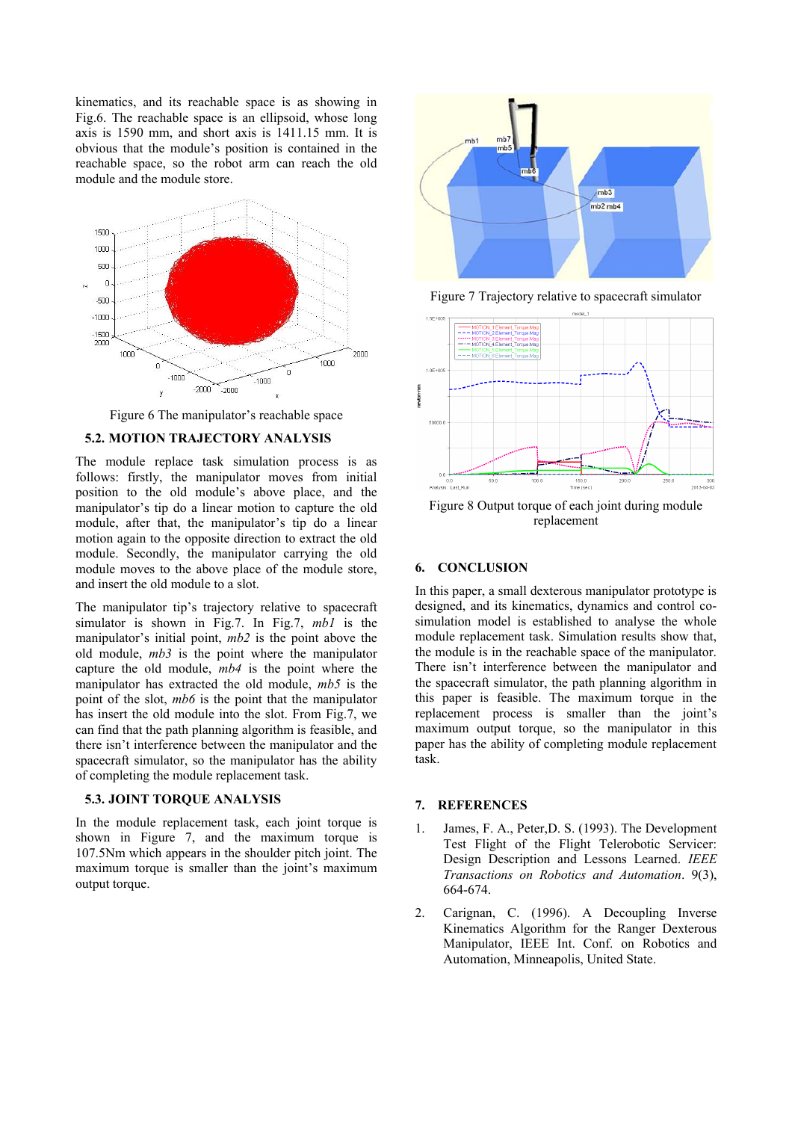kinematics, and its reachable space is as showing in Fig.6. The reachable space is an ellipsoid, whose long axis is 1590 mm, and short axis is 1411.15 mm. It is obvious that the module's position is contained in the reachable space, so the robot arm can reach the old module and the module store.



Figure 6 The manipulator's reachable space

## **5.2. MOTION TRAJECTORY ANALYSIS**

The module replace task simulation process is as follows: firstly, the manipulator moves from initial position to the old module's above place, and the manipulator's tip do a linear motion to capture the old module, after that, the manipulator's tip do a linear motion again to the opposite direction to extract the old module. Secondly, the manipulator carrying the old module moves to the above place of the module store, and insert the old module to a slot.

The manipulator tip's trajectory relative to spacecraft simulator is shown in Fig.7. In Fig.7, *mb1* is the manipulator's initial point, *mb2* is the point above the old module, *mb3* is the point where the manipulator capture the old module, *mb4* is the point where the manipulator has extracted the old module, *mb5* is the point of the slot, *mb6* is the point that the manipulator has insert the old module into the slot. From Fig.7, we can find that the path planning algorithm is feasible, and there isn't interference between the manipulator and the spacecraft simulator, so the manipulator has the ability of completing the module replacement task.

#### **5.3. JOINT TORQUE ANALYSIS**

In the module replacement task, each joint torque is shown in Figure 7, and the maximum torque is 107.5Nm which appears in the shoulder pitch joint. The maximum torque is smaller than the joint's maximum output torque.



Figure 7 Trajectory relative to spacecraft simulator



Figure 8 Output torque of each joint during module replacement

#### **6. CONCLUSION**

In this paper, a small dexterous manipulator prototype is designed, and its kinematics, dynamics and control cosimulation model is established to analyse the whole module replacement task. Simulation results show that, the module is in the reachable space of the manipulator. There isn't interference between the manipulator and the spacecraft simulator, the path planning algorithm in this paper is feasible. The maximum torque in the replacement process is smaller than the joint's maximum output torque, so the manipulator in this paper has the ability of completing module replacement task.

#### **7. REFERENCES**

- 1. James, F. A., Peter,D. S. (1993). The Development Test Flight of the Flight Telerobotic Servicer: Design Description and Lessons Learned. *IEEE Transactions on Robotics and Automation*. 9(3), 664-674.
- 2. Carignan, C. (1996). A Decoupling Inverse Kinematics Algorithm for the Ranger Dexterous Manipulator, IEEE Int. Conf. on Robotics and Automation, Minneapolis, United State.